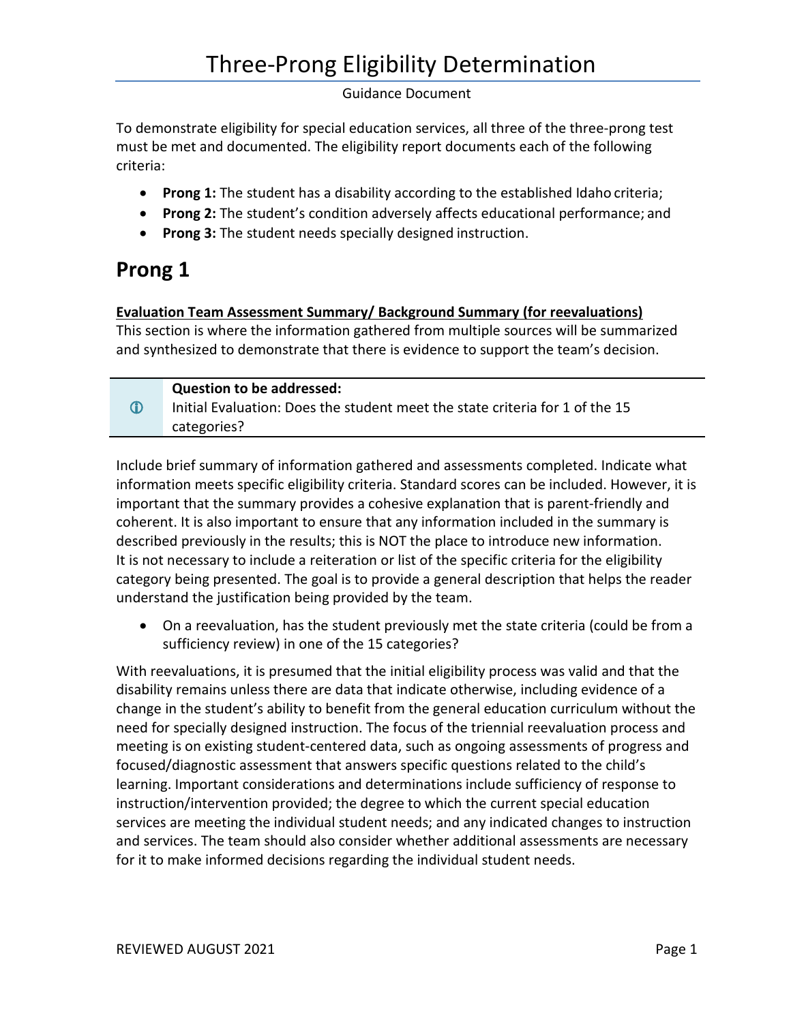To demonstrate eligibility for special education services, all three of the three-prong test must be met and documented. The eligibility report documents each of the following criteria:

- **Prong 1:** The student has a disability according to the established Idaho criteria;
- **Prong 2:** The student's condition adversely affects educational performance; and
- **Prong 3:** The student needs specially designed instruction.

# **Prong 1**

# **Evaluation Team Assessment Summary/ Background Summary (for reevaluations)**

This section is where the information gathered from multiple sources will be summarized and synthesized to demonstrate that there is evidence to support the team's decision.

|                  | <b>Question to be addressed:</b>                                             |
|------------------|------------------------------------------------------------------------------|
| $\mathbf \Omega$ | Initial Evaluation: Does the student meet the state criteria for 1 of the 15 |
|                  | categories?                                                                  |

Include brief summary of information gathered and assessments completed. Indicate what information meets specific eligibility criteria. Standard scores can be included. However, it is important that the summary provides a cohesive explanation that is parent-friendly and coherent. It is also important to ensure that any information included in the summary is described previously in the results; this is NOT the place to introduce new information. It is not necessary to include a reiteration or list of the specific criteria for the eligibility category being presented. The goal is to provide a general description that helps the reader understand the justification being provided by the team.

• On a reevaluation, has the student previously met the state criteria (could be from a sufficiency review) in one of the 15 categories?

With reevaluations, it is presumed that the initial eligibility process was valid and that the disability remains unless there are data that indicate otherwise, including evidence of a change in the student's ability to benefit from the general education curriculum without the need for specially designed instruction. The focus of the triennial reevaluation process and meeting is on existing student-centered data, such as ongoing assessments of progress and focused/diagnostic assessment that answers specific questions related to the child's learning. Important considerations and determinations include sufficiency of response to instruction/intervention provided; the degree to which the current special education services are meeting the individual student needs; and any indicated changes to instruction and services. The team should also consider whether additional assessments are necessary for it to make informed decisions regarding the individual student needs.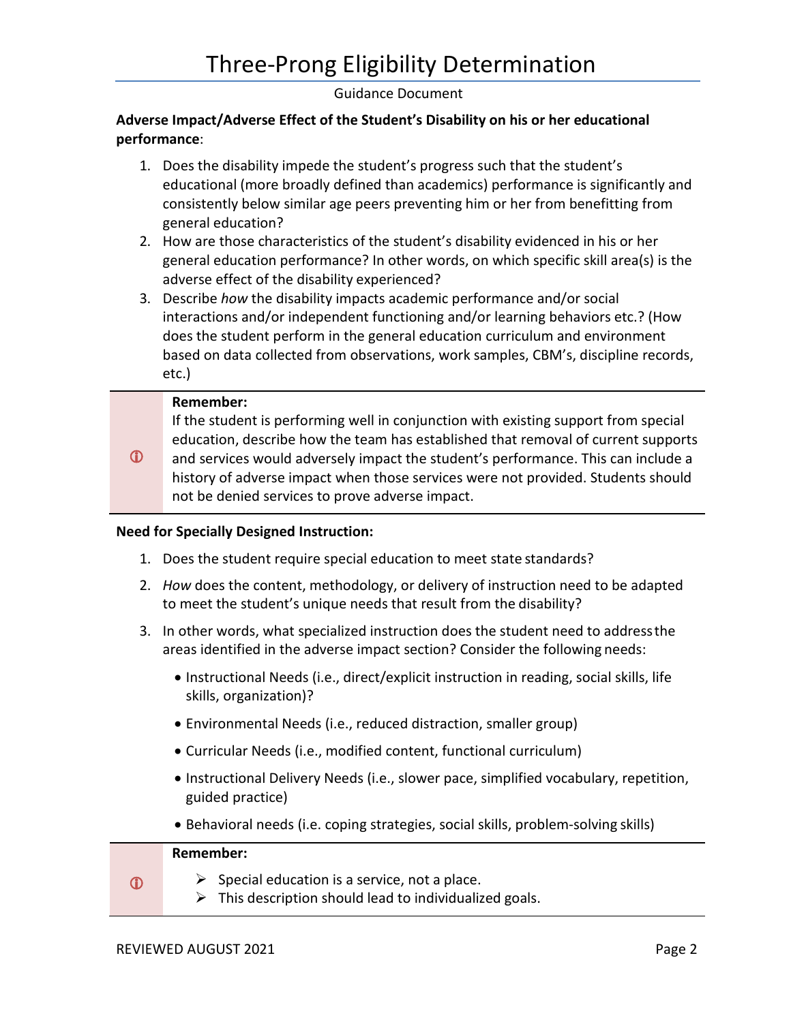# **Adverse Impact/Adverse Effect of the Student's Disability on his or her educational performance**:

- 1. Does the disability impede the student's progress such that the student's educational (more broadly defined than academics) performance is significantly and consistently below similar age peers preventing him or her from benefitting from general education?
- 2. How are those characteristics of the student's disability evidenced in his or her general education performance? In other words, on which specific skill area(s) is the adverse effect of the disability experienced?
- 3. Describe *how* the disability impacts academic performance and/or social interactions and/or independent functioning and/or learning behaviors etc.? (How does the student perform in the general education curriculum and environment based on data collected from observations, work samples, CBM's, discipline records, etc.)

#### **Remember:**

If the student is performing well in conjunction with existing support from special education, describe how the team has established that removal of current supports and services would adversely impact the student's performance. This can include a

 $\mathbf{D}$ history of adverse impact when those services were not provided. Students should not be denied services to prove adverse impact.

#### **Need for Specially Designed Instruction:**

- 1. Does the student require special education to meet state standards?
- 2. *How* does the content, methodology, or delivery of instruction need to be adapted to meet the student's unique needs that result from the disability?
- 3. In other words, what specialized instruction does the student need to addressthe areas identified in the adverse impact section? Consider the following needs:
	- Instructional Needs (i.e., direct/explicit instruction in reading, social skills, life skills, organization)?
	- Environmental Needs (i.e., reduced distraction, smaller group)
	- Curricular Needs (i.e., modified content, functional curriculum)
	- Instructional Delivery Needs (i.e., slower pace, simplified vocabulary, repetition, guided practice)
	- Behavioral needs (i.e. coping strategies, social skills, problem-solving skills)

# **Remember:**

- $\mathbf{D}$
- $\triangleright$  Special education is a service, not a place.
- $\triangleright$  This description should lead to individualized goals.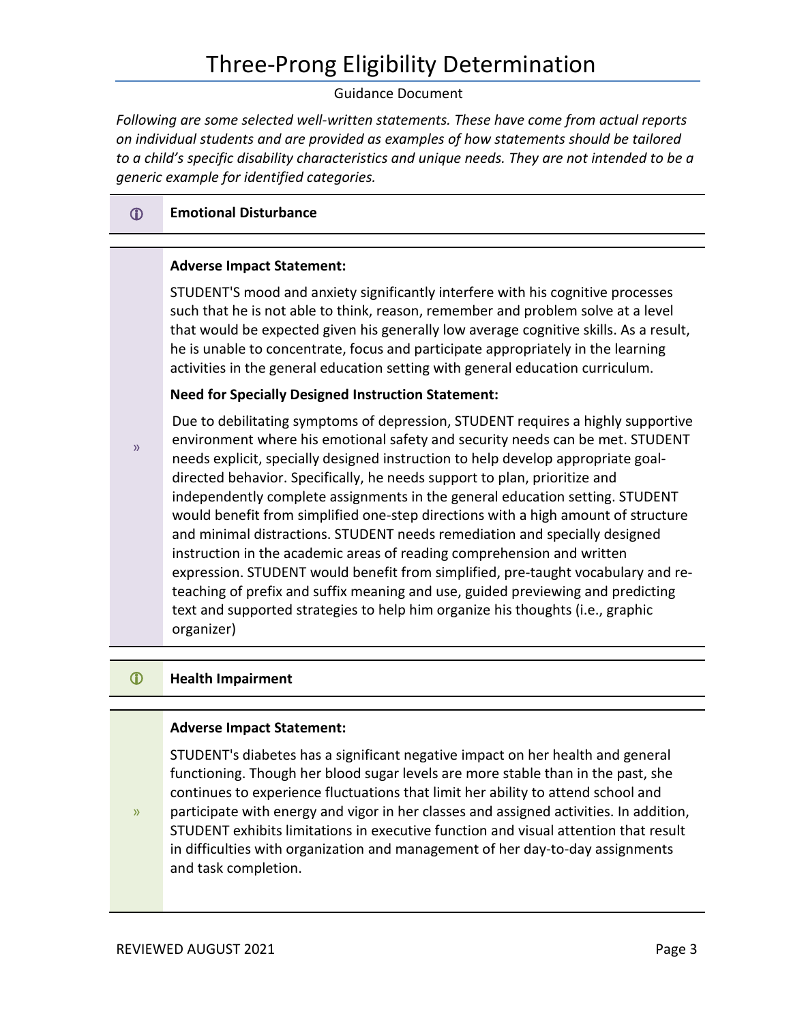# Three-Prong Eligibility Determination

#### Guidance Document

*Following are some selected well-written statements. These have come from actual reports on individual students and are provided as examples of how statements should be tailored to a child's specific disability characteristics and unique needs. They are not intended to be a generic example for identified categories.* 

# **Emotional Disturbance**

#### **Adverse Impact Statement:**

STUDENT'S mood and anxiety significantly interfere with his cognitive processes such that he is not able to think, reason, remember and problem solve at a level that would be expected given his generally low average cognitive skills. As a result, he is unable to concentrate, focus and participate appropriately in the learning activities in the general education setting with general education curriculum.

#### **Need for Specially Designed Instruction Statement:**

Due to debilitating symptoms of depression, STUDENT requires a highly supportive environment where his emotional safety and security needs can be met. STUDENT needs explicit, specially designed instruction to help develop appropriate goaldirected behavior. Specifically, he needs support to plan, prioritize and independently complete assignments in the general education setting. STUDENT would benefit from simplified one-step directions with a high amount of structure and minimal distractions. STUDENT needs remediation and specially designed instruction in the academic areas of reading comprehension and written expression. STUDENT would benefit from simplified, pre-taught vocabulary and re teaching of prefix and suffix meaning and use, guided previewing and predicting text and supported strategies to help him organize his thoughts (i.e., graphic organizer)

#### **Health Impairment**

»

#### **Adverse Impact Statement:**

 continues to experience fluctuations that limit her ability to attend school and STUDENT's diabetes has a significant negative impact on her health and general functioning. Though her blood sugar levels are more stable than in the past, she

» participate with energy and vigor in her classes and assigned activities. In addition, STUDENT exhibits limitations in executive function and visual attention that result in difficulties with organization and management of her day-to-day assignments and task completion.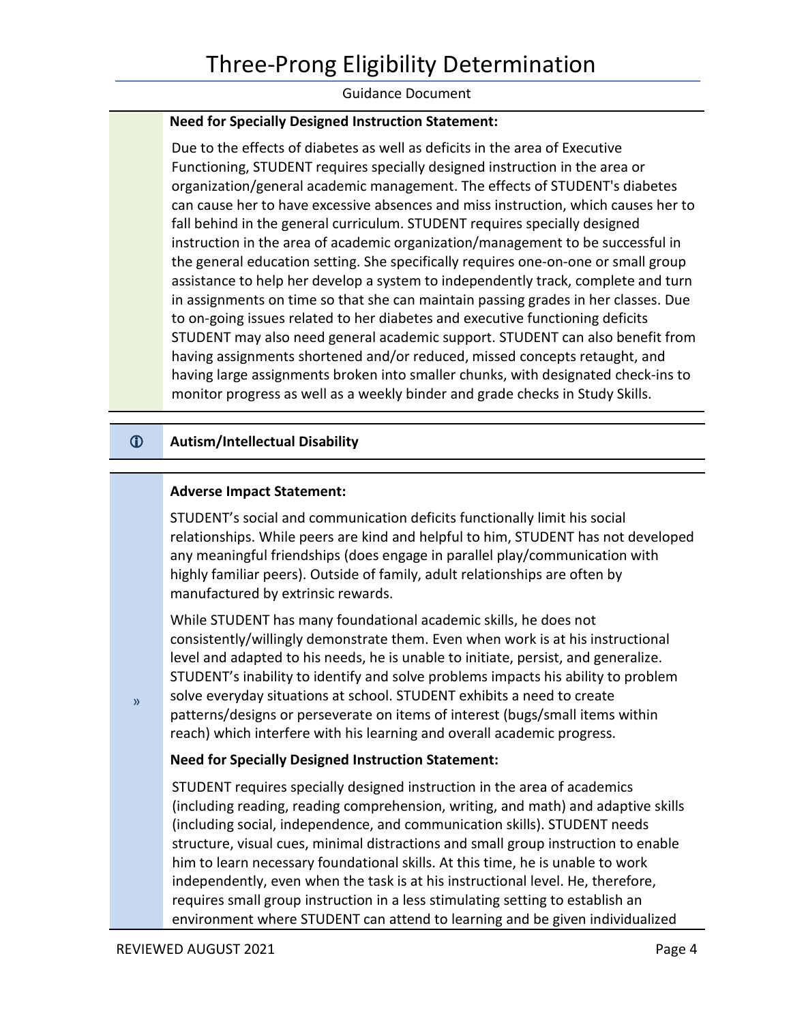#### **Need for Specially Designed Instruction Statement:**

Due to the effects of diabetes as well as deficits in the area of Executive Functioning, STUDENT requires specially designed instruction in the area or organization/general academic management. The effects of STUDENT's diabetes can cause her to have excessive absences and miss instruction, which causes her to fall behind in the general curriculum. STUDENT requires specially designed instruction in the area of academic organization/management to be successful in the general education setting. She specifically requires one-on-one or small group assistance to help her develop a system to independently track, complete and turn in assignments on time so that she can maintain passing grades in her classes. Due to on-going issues related to her diabetes and executive functioning deficits STUDENT may also need general academic support. STUDENT can also benefit from having assignments shortened and/or reduced, missed concepts retaught, and having large assignments broken into smaller chunks, with designated check-ins to monitor progress as well as a weekly binder and grade checks in Study Skills.

# **Autism/Intellectual Disability**

#### **Adverse Impact Statement:**

 STUDENT's social and communication deficits functionally limit his social relationships. While peers are kind and helpful to him, STUDENT has not developed any meaningful friendships (does engage in parallel play/communication with highly familiar peers). Outside of family, adult relationships are often by manufactured by extrinsic rewards.

 While STUDENT has many foundational academic skills, he does not level and adapted to his needs, he is unable to initiate, persist, and generalize. consistently/willingly demonstrate them. Even when work is at his instructional STUDENT's inability to identify and solve problems impacts his ability to problem  $\gamma_{\text{S}}$  solve everyday situations at school. STUDENT exhibits a need to create patterns/designs or perseverate on items of interest (bugs/small items within reach) which interfere with his learning and overall academic progress.

#### **Need for Specially Designed Instruction Statement:**

 STUDENT requires specially designed instruction in the area of academics structure, visual cues, minimal distractions and small group instruction to enable him to learn necessary foundational skills. At this time, he is unable to work (including reading, reading comprehension, writing, and math) and adaptive skills (including social, independence, and communication skills). STUDENT needs independently, even when the task is at his instructional level. He, therefore, requires small group instruction in a less stimulating setting to establish an environment where STUDENT can attend to learning and be given individualized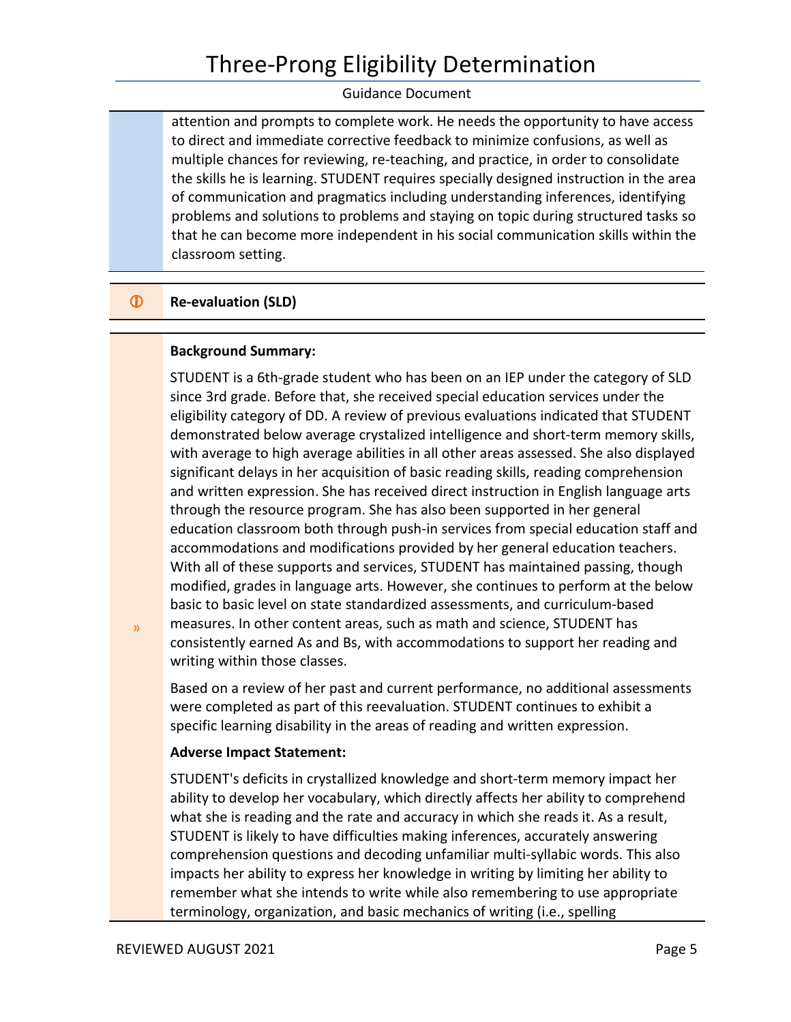# Three-Prong Eligibility Determination

#### Guidance Document

attention and prompts to complete work. He needs the opportunity to have access to direct and immediate corrective feedback to minimize confusions, as well as multiple chances for reviewing, re-teaching, and practice, in order to consolidate the skills he is learning. STUDENT requires specially designed instruction in the area of communication and pragmatics including understanding inferences, identifying problems and solutions to problems and staying on topic during structured tasks so that he can become more independent in his social communication skills within the classroom setting.

# *C* Re-evaluation (SLD)

#### **Background Summary:**

 eligibility category of DD. A review of previous evaluations indicated that STUDENT with average to high average abilities in all other areas assessed. She also displayed significant delays in her acquisition of basic reading skills, reading comprehension and written expression. She has received direct instruction in English language arts modified, grades in language arts. However, she continues to perform at the below STUDENT is a 6th-grade student who has been on an IEP under the category of SLD since 3rd grade. Before that, she received special education services under the demonstrated below average crystalized intelligence and short-term memory skills, through the resource program. She has also been supported in her general education classroom both through push-in services from special education staff and accommodations and modifications provided by her general education teachers. With all of these supports and services, STUDENT has maintained passing, though basic to basic level on state standardized assessments, and curriculum-based measures. In other content areas, such as math and science, STUDENT has consistently earned As and Bs, with accommodations to support her reading and writing within those classes.

 were completed as part of this reevaluation. STUDENT continues to exhibit a specific learning disability in the areas of reading and written expression. Based on a review of her past and current performance, no additional assessments

#### **Adverse Impact Statement:**

 ability to develop her vocabulary, which directly affects her ability to comprehend what she is reading and the rate and accuracy in which she reads it. As a result, STUDENT is likely to have difficulties making inferences, accurately answering remember what she intends to write while also remembering to use appropriate STUDENT's deficits in crystallized knowledge and short-term memory impact her comprehension questions and decoding unfamiliar multi-syllabic words. This also impacts her ability to express her knowledge in writing by limiting her ability to terminology, organization, and basic mechanics of writing (i.e., spelling

»